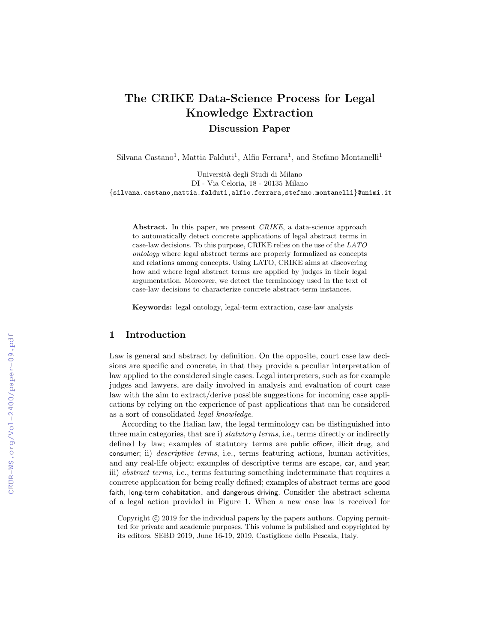# The CRIKE Data-Science Process for Legal Knowledge Extraction Discussion Paper

Silvana Castano<sup>1</sup>, Mattia Falduti<sup>1</sup>, Alfio Ferrara<sup>1</sup>, and Stefano Montanelli<sup>1</sup>

Universit`a degli Studi di Milano DI - Via Celoria, 18 - 20135 Milano {silvana.castano,mattia.falduti,alfio.ferrara,stefano.montanelli}@unimi.it

Abstract. In this paper, we present *CRIKE*, a data-science approach to automatically detect concrete applications of legal abstract terms in case-law decisions. To this purpose, CRIKE relies on the use of the LATO ontology where legal abstract terms are properly formalized as concepts and relations among concepts. Using LATO, CRIKE aims at discovering how and where legal abstract terms are applied by judges in their legal argumentation. Moreover, we detect the terminology used in the text of case-law decisions to characterize concrete abstract-term instances.

Keywords: legal ontology, legal-term extraction, case-law analysis

## 1 Introduction

Law is general and abstract by definition. On the opposite, court case law decisions are specific and concrete, in that they provide a peculiar interpretation of law applied to the considered single cases. Legal interpreters, such as for example judges and lawyers, are daily involved in analysis and evaluation of court case law with the aim to extract/derive possible suggestions for incoming case applications by relying on the experience of past applications that can be considered as a sort of consolidated legal knowledge.

According to the Italian law, the legal terminology can be distinguished into three main categories, that are i) *statutory terms*, i.e., terms directly or indirectly defined by law; examples of statutory terms are public officer, illicit drug, and consumer; ii) *descriptive terms*, i.e., terms featuring actions, human activities, and any real-life object; examples of descriptive terms are escape, car, and year; iii) abstract terms, i.e., terms featuring something indeterminate that requires a concrete application for being really defined; examples of abstract terms are good faith, long-term cohabitation, and dangerous driving. Consider the abstract schema of a legal action provided in Figure 1. When a new case law is received for

Copyright  $\odot$  2019 for the individual papers by the papers authors. Copying permitted for private and academic purposes. This volume is published and copyrighted by its editors. SEBD 2019, June 16-19, 2019, Castiglione della Pescaia, Italy.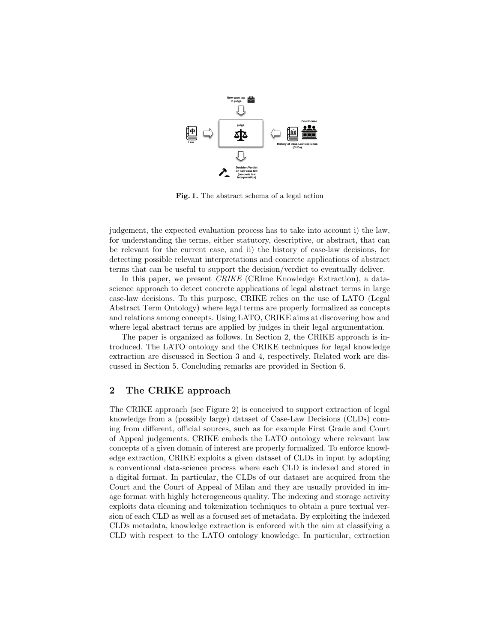

Fig. 1. The abstract schema of a legal action

judgement, the expected evaluation process has to take into account i) the law, for understanding the terms, either statutory, descriptive, or abstract, that can be relevant for the current case, and ii) the history of case-law decisions, for detecting possible relevant interpretations and concrete applications of abstract terms that can be useful to support the decision/verdict to eventually deliver.

In this paper, we present *CRIKE* (CRIme Knowledge Extraction), a datascience approach to detect concrete applications of legal abstract terms in large case-law decisions. To this purpose, CRIKE relies on the use of LATO (Legal Abstract Term Ontology) where legal terms are properly formalized as concepts and relations among concepts. Using LATO, CRIKE aims at discovering how and where legal abstract terms are applied by judges in their legal argumentation.

The paper is organized as follows. In Section 2, the CRIKE approach is introduced. The LATO ontology and the CRIKE techniques for legal knowledge extraction are discussed in Section 3 and 4, respectively. Related work are discussed in Section 5. Concluding remarks are provided in Section 6.

### 2 The CRIKE approach

The CRIKE approach (see Figure 2) is conceived to support extraction of legal knowledge from a (possibly large) dataset of Case-Law Decisions (CLDs) coming from different, official sources, such as for example First Grade and Court of Appeal judgements. CRIKE embeds the LATO ontology where relevant law concepts of a given domain of interest are properly formalized. To enforce knowledge extraction, CRIKE exploits a given dataset of CLDs in input by adopting a conventional data-science process where each CLD is indexed and stored in a digital format. In particular, the CLDs of our dataset are acquired from the Court and the Court of Appeal of Milan and they are usually provided in image format with highly heterogeneous quality. The indexing and storage activity exploits data cleaning and tokenization techniques to obtain a pure textual version of each CLD as well as a focused set of metadata. By exploiting the indexed CLDs metadata, knowledge extraction is enforced with the aim at classifying a CLD with respect to the LATO ontology knowledge. In particular, extraction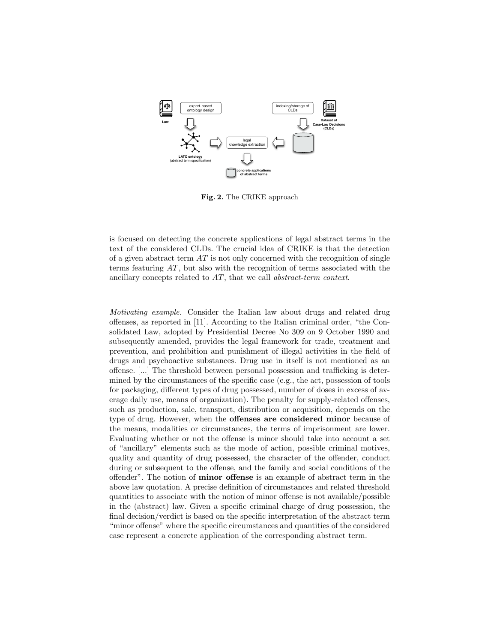

Fig. 2. The CRIKE approach

is focused on detecting the concrete applications of legal abstract terms in the text of the considered CLDs. The crucial idea of CRIKE is that the detection of a given abstract term  $AT$  is not only concerned with the recognition of single terms featuring  $AT$ , but also with the recognition of terms associated with the ancillary concepts related to AT, that we call abstract-term context.

Motivating example. Consider the Italian law about drugs and related drug offenses, as reported in [11]. According to the Italian criminal order, "the Consolidated Law, adopted by Presidential Decree No 309 on 9 October 1990 and subsequently amended, provides the legal framework for trade, treatment and prevention, and prohibition and punishment of illegal activities in the field of drugs and psychoactive substances. Drug use in itself is not mentioned as an offense. [...] The threshold between personal possession and trafficking is determined by the circumstances of the specific case (e.g., the act, possession of tools for packaging, different types of drug possessed, number of doses in excess of average daily use, means of organization). The penalty for supply-related offenses, such as production, sale, transport, distribution or acquisition, depends on the type of drug. However, when the offenses are considered minor because of the means, modalities or circumstances, the terms of imprisonment are lower. Evaluating whether or not the offense is minor should take into account a set of "ancillary" elements such as the mode of action, possible criminal motives, quality and quantity of drug possessed, the character of the offender, conduct during or subsequent to the offense, and the family and social conditions of the offender". The notion of minor offense is an example of abstract term in the above law quotation. A precise definition of circumstances and related threshold quantities to associate with the notion of minor offense is not available/possible in the (abstract) law. Given a specific criminal charge of drug possession, the final decision/verdict is based on the specific interpretation of the abstract term "minor offense" where the specific circumstances and quantities of the considered case represent a concrete application of the corresponding abstract term.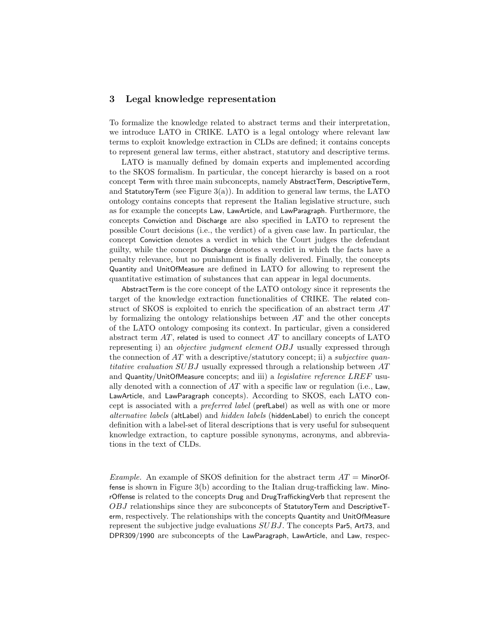### 3 Legal knowledge representation

To formalize the knowledge related to abstract terms and their interpretation, we introduce LATO in CRIKE. LATO is a legal ontology where relevant law terms to exploit knowledge extraction in CLDs are defined; it contains concepts to represent general law terms, either abstract, statutory and descriptive terms.

LATO is manually defined by domain experts and implemented according to the SKOS formalism. In particular, the concept hierarchy is based on a root concept Term with three main subconcepts, namely AbstractTerm, DescriptiveTerm, and Statutory Term (see Figure  $3(a)$ ). In addition to general law terms, the LATO ontology contains concepts that represent the Italian legislative structure, such as for example the concepts Law, LawArticle, and LawParagraph. Furthermore, the concepts Conviction and Discharge are also specified in LATO to represent the possible Court decisions (i.e., the verdict) of a given case law. In particular, the concept Conviction denotes a verdict in which the Court judges the defendant guilty, while the concept Discharge denotes a verdict in which the facts have a penalty relevance, but no punishment is finally delivered. Finally, the concepts Quantity and UnitOfMeasure are defined in LATO for allowing to represent the quantitative estimation of substances that can appear in legal documents.

AbstractTerm is the core concept of the LATO ontology since it represents the target of the knowledge extraction functionalities of CRIKE. The related construct of SKOS is exploited to enrich the specification of an abstract term AT by formalizing the ontology relationships between  $AT$  and the other concepts of the LATO ontology composing its context. In particular, given a considered abstract term  $AT$ , related is used to connect  $AT$  to ancillary concepts of LATO representing i) an *objective judgment element OBJ* usually expressed through the connection of  $AT$  with a descriptive/statutory concept; ii) a *subjective quan*titative evaluation SUBJ usually expressed through a relationship between AT and Quantity/UnitOfMeasure concepts; and iii) a *legislative reference LREF* usually denoted with a connection of  $AT$  with a specific law or regulation (i.e., Law, LawArticle, and LawParagraph concepts). According to SKOS, each LATO concept is associated with a preferred label (prefLabel) as well as with one or more alternative labels (altLabel) and hidden labels (hiddenLabel) to enrich the concept definition with a label-set of literal descriptions that is very useful for subsequent knowledge extraction, to capture possible synonyms, acronyms, and abbreviations in the text of CLDs.

*Example.* An example of SKOS definition for the abstract term  $AT =$  MinorOffense is shown in Figure 3(b) according to the Italian drug-trafficking law. MinorOffense is related to the concepts Drug and DrugTraffickingVerb that represent the OBJ relationships since they are subconcepts of StatutoryTerm and DescriptiveTerm, respectively. The relationships with the concepts Quantity and UnitOfMeasure represent the subjective judge evaluations SUBJ. The concepts Par5, Art73, and DPR309/1990 are subconcepts of the LawParagraph, LawArticle, and Law, respec-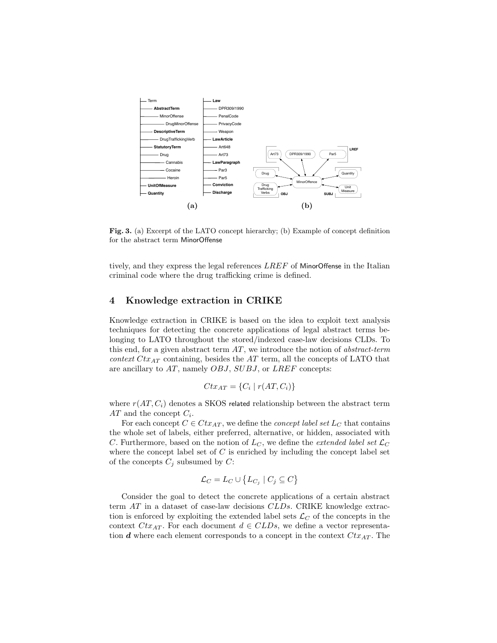

Fig. 3. (a) Excerpt of the LATO concept hierarchy; (b) Example of concept definition for the abstract term MinorOffense

tively, and they express the legal references LREF of MinorOffense in the Italian criminal code where the drug trafficking crime is defined.

### 4 Knowledge extraction in CRIKE

Knowledge extraction in CRIKE is based on the idea to exploit text analysis techniques for detecting the concrete applications of legal abstract terms belonging to LATO throughout the stored/indexed case-law decisions CLDs. To this end, for a given abstract term  $AT$ , we introduce the notion of abstract-term context  $Ctx_{AT}$  containing, besides the AT term, all the concepts of LATO that are ancillary to AT, namely OBJ, SUBJ, or LREF concepts:

$$
Ctx_{AT} = \{C_i \mid r(AT, C_i)\}\
$$

where  $r(AT, C_i)$  denotes a SKOS related relationship between the abstract term  $AT$  and the concept  $C_i$ .

For each concept  $C \in Ctx_{AT}$ , we define the *concept label set*  $L_C$  that contains the whole set of labels, either preferred, alternative, or hidden, associated with C. Furthermore, based on the notion of  $L_C$ , we define the *extended label set*  $\mathcal{L}_C$ where the concept label set of  $C$  is enriched by including the concept label set of the concepts  $C_j$  subsumed by  $C$ :

$$
\mathcal{L}_C = L_C \cup \{ L_{C_j} \mid C_j \subseteq C \}
$$

Consider the goal to detect the concrete applications of a certain abstract term AT in a dataset of case-law decisions CLDs. CRIKE knowledge extraction is enforced by exploiting the extended label sets  $\mathcal{L}_C$  of the concepts in the context  $Ctx_{AT}$ . For each document  $d \in CLDs$ , we define a vector representation  $d$  where each element corresponds to a concept in the context  $Ctx_{AT}$ . The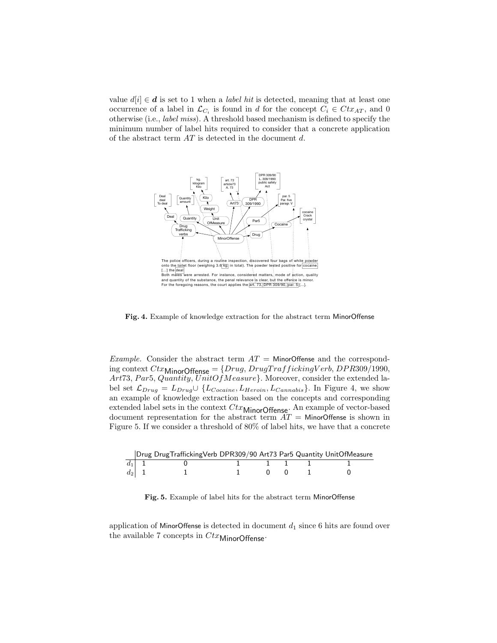value  $d[i] \in \mathbf{d}$  is set to 1 when a *label hit* is detected, meaning that at least one occurrence of a label in  $\mathcal{L}_{C_i}$  is found in d for the concept  $C_i \in Ctx_{AT}$ , and 0 otherwise (i.e., label miss). A threshold based mechanism is defined to specify the minimum number of label hits required to consider that a concrete application of the abstract term  $AT$  is detected in the document  $d$ .



Fig. 4. Example of knowledge extraction for the abstract term MinorOffense

*Example.* Consider the abstract term  $AT =$  MinorOffense and the corresponding context  $Ctx$ <sub>Minor</sub>Offense</sub> = { $Drug, DrugTraffickingVerb, DPR309/1990$ , Art73, Par5, Quantity, UnitOf Measure}. Moreover, consider the extended label set  $\mathcal{L}_{Drug} = L_{Drug} \cup \{L_{Cocaine}, L_{Heron}, L_{Cannabis}\}.$  In Figure 4, we show an example of knowledge extraction based on the concepts and corresponding extended label sets in the context  $Ctx$ MinorOffense. An example of vector-based document representation for the abstract term  $AT =$  MinorOffense is shown in Figure 5. If we consider a threshold of 80% of label hits, we have that a concrete

|         | Drug DrugTraffickingVerb DPR309/90 Art73 Par5 Quantity UnitOfMeasure |  |  |  |
|---------|----------------------------------------------------------------------|--|--|--|
| $d_1$ 1 |                                                                      |  |  |  |
| $d_2$ 1 |                                                                      |  |  |  |

Fig. 5. Example of label hits for the abstract term MinorOffense

application of MinorOffense is detected in document  $d_1$  since 6 hits are found over the available 7 concepts in  $Ctx$ MinorOffense.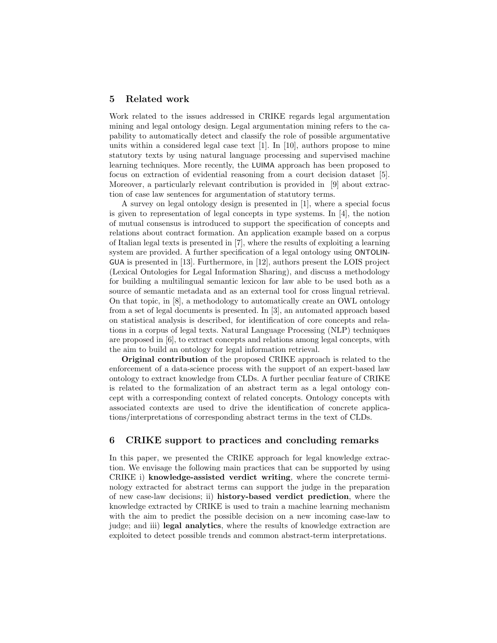#### 5 Related work

Work related to the issues addressed in CRIKE regards legal argumentation mining and legal ontology design. Legal argumentation mining refers to the capability to automatically detect and classify the role of possible argumentative units within a considered legal case text  $[1]$ . In  $[10]$ , authors propose to mine statutory texts by using natural language processing and supervised machine learning techniques. More recently, the LUIMA approach has been proposed to focus on extraction of evidential reasoning from a court decision dataset [5]. Moreover, a particularly relevant contribution is provided in [9] about extraction of case law sentences for argumentation of statutory terms.

A survey on legal ontology design is presented in [1], where a special focus is given to representation of legal concepts in type systems. In [4], the notion of mutual consensus is introduced to support the specification of concepts and relations about contract formation. An application example based on a corpus of Italian legal texts is presented in [7], where the results of exploiting a learning system are provided. A further specification of a legal ontology using ONTOLIN-GUA is presented in [13]. Furthermore, in [12], authors present the LOIS project (Lexical Ontologies for Legal Information Sharing), and discuss a methodology for building a multilingual semantic lexicon for law able to be used both as a source of semantic metadata and as an external tool for cross lingual retrieval. On that topic, in [8], a methodology to automatically create an OWL ontology from a set of legal documents is presented. In [3], an automated approach based on statistical analysis is described, for identification of core concepts and relations in a corpus of legal texts. Natural Language Processing (NLP) techniques are proposed in [6], to extract concepts and relations among legal concepts, with the aim to build an ontology for legal information retrieval.

Original contribution of the proposed CRIKE approach is related to the enforcement of a data-science process with the support of an expert-based law ontology to extract knowledge from CLDs. A further peculiar feature of CRIKE is related to the formalization of an abstract term as a legal ontology concept with a corresponding context of related concepts. Ontology concepts with associated contexts are used to drive the identification of concrete applications/interpretations of corresponding abstract terms in the text of CLDs.

### 6 CRIKE support to practices and concluding remarks

In this paper, we presented the CRIKE approach for legal knowledge extraction. We envisage the following main practices that can be supported by using CRIKE i) knowledge-assisted verdict writing, where the concrete terminology extracted for abstract terms can support the judge in the preparation of new case-law decisions; ii) history-based verdict prediction, where the knowledge extracted by CRIKE is used to train a machine learning mechanism with the aim to predict the possible decision on a new incoming case-law to judge; and iii) legal analytics, where the results of knowledge extraction are exploited to detect possible trends and common abstract-term interpretations.